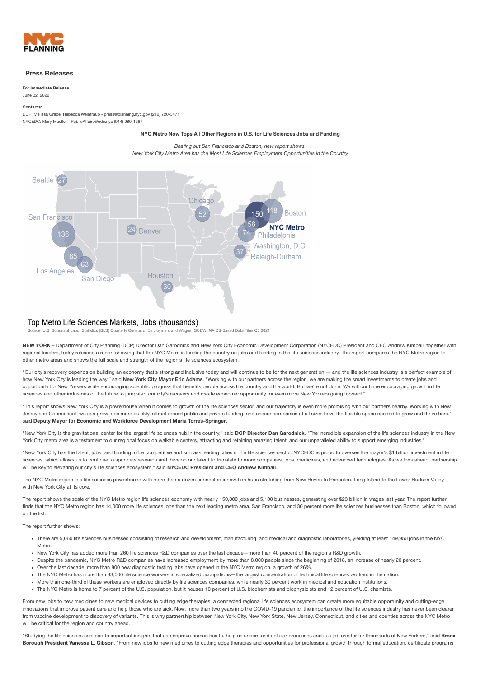

### **Press Releases**

**For Immediate Release** June 02, 2022

# **Contacts:**

DCP: Melissa Grace, Rebecca Weintraub - [press@planning.nyc.gov](mailto:press@planning.nyc.gov) (212) 720-3471 NYCEDC: Mary Mueller - [PublicAffairs@edc.nyc](mailto:PublicAffairs@edc.nyc) (914) 980-1267

**NYC Metro Now Tops All Other Regions in U.S. for Life Sciences Jobs and Funding**

*Beating out San Francisco and Boston, new report shows New York City Metro Area has the Most Life Sciences Employment Opportunities in the Country*



## Top Metro Life Sciences Markets, Jobs (thousands)

Source: U.S. Bureau of Labor Statistics (BLS) Quarterly Census of Employment and Wages (QCEW) NAICS-Based Data Files Q3 2021

**NEW YORK** – Department of City Planning (DCP) Director Dan Garodnick and New York City Economic Development Corporation (NYCEDC) President and CEO Andrew Kimball, together with regional leaders, today [released](https://www1.nyc.gov/assets/planning/download/pdf/planning-level/region/nyc-metro-life-sciences.pdf) a report showing that the NYC Metro is leading the country on jobs and funding in the life sciences industry. The report compares the NYC Metro region to other metro areas and shows the full scale and strength of the region's life sciences ecosystem.

"Our city's recovery depends on building an economy that's strong and inclusive today and will continue to be for the next generation — and the life sciences industry is a perfect example of how New York City is leading the way," said **New York City Mayor Eric Adams**. "Working with our partners across the region, we are making the smart investments to create jobs and opportunity for New Yorkers while encouraging scientific progress that benefits people across the country and the world. But we're not done. We will continue encouraging growth in life sciences and other industries of the future to jumpstart our city's recovery and create economic opportunity for even more New Yorkers going forward."

"This report shows New York City is a powerhouse when it comes to growth of the life sciences sector, and our trajectory is even more promising with our partners nearby. Working with New Jersey and Connecticut, we can grow jobs more quickly, attract record public and private funding, and ensure companies of all sizes have the flexible space needed to grow and thrive here," said **Deputy Mayor for Economic and Workforce Development Maria Torres-Springer**.

"New York City is the gravitational center for the largest life sciences hub in the country," said **DCP Director Dan Garodnick**. "The incredible expansion of the life sciences industry in the New York City metro area is a testament to our regional focus on walkable centers, attracting and retaining amazing talent, and our unparalleled ability to support emerging industries."

"New York City has the talent, jobs, and funding to be competitive and surpass leading cities in the life sciences sector. NYCEDC is proud to oversee the mayor's \$1 billion investment in life sciences, which allows us to continue to spur new research and develop our talent to translate to more companies, jobs, medicines, and advanced technologies. As we look ahead, partnership will be key to elevating our city's life sciences ecosystem," said **NYCEDC President and CEO Andrew Kimball**.

The NYC Metro region is a life sciences powerhouse with more than a dozen connected innovation hubs stretching from New Haven to Princeton, Long Island to the Lower Hudson Valley with New York City at its core.

The report shows the scale of the NYC Metro region life sciences economy with nearly 150,000 jobs and 5,100 businesses, generating over \$23 billion in wages last year. The report further finds that the NYC Metro region has 14,000 more life sciences jobs than the next leading metro area, San Francisco, and 30 percent more life sciences businesses than Boston, which followed on the list.

The report further shows:

- There are 5,060 life sciences businesses consisting of research and development, manufacturing, and medical and diagnostic laboratories, yielding at least 149,950 jobs in the NYC Metro.
- New York City has added more than 260 life sciences R&D companies over the last decade—more than 40 percent of the region's R&D growth.
- Despite the pandemic, NYC Metro R&D companies have increased employment by more than 8,000 people since the beginning of 2018, an increase of nearly 20 percent.
- Over the last decade, more than 800 new diagnostic testing labs have opened in the NYC Metro region, a growth of 26%.
- The NYC Metro has more than 83,000 life science workers in specialized occupations—the largest concentration of technical life sciences workers in the nation.
- More than one-third of these workers are employed directly by life sciences companies, while nearly 30 percent work in medical and education institutions.
- The NYC Metro is home to 7 percent of the U.S. population, but it houses 10 percent of U.S. biochemists and biophysicists and 12 percent of U.S. chemists.

From new jobs to new medicines to new medical devices to cutting edge therapies, a connected regional life sciences ecosystem can create more equitable opportunity and cutting-edge innovations that improve patient care and help those who are sick. Now, more than two years into the COVID-19 pandemic, the importance of the life sciences industry has never been clearer from vaccine development to discovery of variants. This is why partnership between New York City, New York State, New Jersey, Connecticut, and cities and counties across the NYC Metro will be critical for the region and country ahead

"Studying the life sciences can lead to important insights that can improve human health, help us understand cellular processes and is a job creator for thousands of New Yorkers," said **Bronx Borough President Vanessa L. Gibson**. "From new jobs to new medicines to cutting edge therapies and opportunities for professional growth through formal education, certificate programs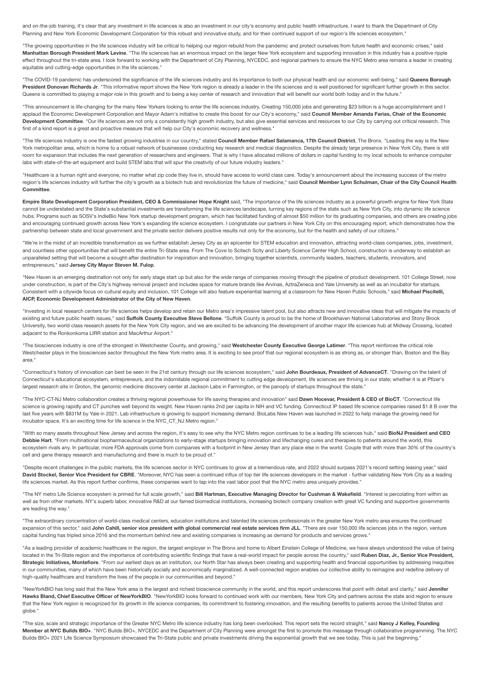and on-the-job training, it's clear that any investment in life sciences is also an investment in our city's economy and public health infrastructure. I want to thank the Department of City Planning and New York Economic Development Corporation for this robust and innovative study, and for their continued support of our region's life sciences ecosystem."

"The growing opportunities in the life sciences industry will be critical to helping our region rebuild from the pandemic and protect ourselves from future health and economic crises," said **Manhattan Borough President Mark Levine**. "The life sciences has an enormous impact on the larger New York ecosystem and supporting innovation in this industry has a positive ripple effect throughout the tri-state area. I look forward to working with the Department of City Planning, NYCEDC, and regional partners to ensure the NYC Metro area remains a leader in creating equitable and cutting-edge opportunities in the life sciences."

"The COVID-19 pandemic has underscored the significance of the life sciences industry and its importance to both our physical health and our economic well-being," said **Queens Borough** President Donovan Richards Jr. "This informative report shows the New York region is already a leader in the life sciences and is well positioned for significant further growth in this sector. Queens is committed to playing a major role in this growth and to being a key center of research and innovation that will benefit our world both today and in the future."

"This announcement is life-changing for the many New Yorkers looking to enter the life sciences industry. Creating 150,000 jobs and generating \$23 billion is a huge accomplishment and I applaud the Economic Development Corporation and Mayor Adam's initiative to create this boost for our City's economy," said Council Member Amanda Farias, Chair of the Economic **Development Committee**. "Our life sciences are not only a consistently high growth industry, but also give essential services and resources to our City by carrying out critical research. This first of a kind report is a great and proactive measure that will help our City's economic recovery and wellness."

"The life sciences industry is one the fastest growing industries in our country," stated Council Member Rafael Salamanca, 17th Council District, The Bronx. "Leading the way is the New York metropolitan area, which is home to a robust network of businesses conducting key research and medical diagnostics. Despite the already large presence in New York City, there is still room for expansion that includes the next generation of researchers and engineers. That is why I have allocated millions of dollars in capital funding to my local schools to enhance computer labs with state-of-the-art equipment and build STEM labs that will spur the creativity of our future industry leaders."

"Healthcare is a human right and everyone, no matter what zip code they live in, should have access to world class care. Today's announcement about the increasing success of the metro region's life sciences industry will further the city's growth as a biotech hub and revolutionize the future of medicine," said Council Member Lynn Schulman, Chair of the City Council Health **Committee**.

Empire State Development Corporation President, CEO & Commissioner Hope Knight said. "The importance of the life sciences industry as a powerful growth engine for New York State cannot be understated and the State's substantial investments are transforming the life sciences landscape, turning key regions of the state such as New York City, into dynamic life science hubs. Programs such as SOSV's IndieBio New York startup development program, which has facilitated funding of almost \$50 million for its graduating companies, and others are creating jobs and encouraging continued growth across New York's expanding life science ecosystem. I congratulate our partners in New York City on this encouraging report, which demonstrates how the partnership between state and local government and the private sector delivers positive results not only for the economy, but for the health and safety of our citizens."

"We're in the midst of an incredible transformation as we further establish Jersey City as an epicenter for STEM education and innovation, attracting world-class companies, jobs, investment, and countless other opportunities that will benefit the entire Tri-State area. From The Cove to Scitech Scity and Liberty Science Center High School, construction is underway to establish an unparalleled setting that will become a sought-after destination for inspiration and innovation, bringing together scientists, community leaders, teachers, students, innovators, and entrepreneurs," said **Jersey City Mayor Steven M. Fulop**.

"New Haven is an emerging destination not only for early stage start up but also for the wide range of companies moving through the pipeline of product development. 101 College Street, now under construction, is part of the City's highway removal project and includes space for mature brands like Arvinas, AztraZeneca and Yale University as well as an incubator for startups Consistent with a citywide focus on cultural equity and inclusion, 101 College will also feature experiential learning at a classroom for New Haven Public Schools," said **Michael Piscitelli, AICP, Economic Development Administrator of the City of New Haven**.

"Investing in local research centers for life sciences helps develop and retain our Metro area's impressive talent pool, but also attracts new and innovative ideas that will mitigate the impacts of existing and future public health issues," said **Suffolk County Executive Steve Bellone**. "Suffolk County is proud to be the home of Brookhaven National Laboratories and Stony Brook University, two world class research assets for the New York City region, and we are excited to be advancing the development of another major life sciences hub at Midway Crossing, located adjacent to the Ronkonkoma LIRR station and MacArthur Airport."

"The biosciences industry is one of the strongest in Westchester County, and growing," said **Westchester County Executive George Latimer**. "This report reinforces the critical role Westchester plays in the biosciences sector throughout the New York metro area. It is exciting to see proof that our regional ecosystem is as strong as, or stronger than, Boston and the Bay area."

"Connecticut's history of innovation can best be seen in the 21st century through our life sciences ecosystem," said **John Bourdeaux, President of AdvanceCT**. "Drawing on the talent of Connecticut's educational ecosystem, entrepreneurs, and the indomitable regional commitment to cutting edge development, life sciences are thriving in our state; whether it is at Pfizer's largest research site in Groton, the genomic medicine discovery center at Jackson Labs in Farmington, or the panoply of startups throughout the state."

"The NYC-CT-NJ Metro collaboration creates a thriving regional powerhouse for life saving therapies and innovation" said Dawn Hocevar, President & CEO of BioCT. "Connecticut life science is growing rapidly and CT punches well beyond its weight. New Haven ranks 2nd per capita in NIH and VC funding. Connecticut IP based life science companies raised \$1.8 B over the last five years with \$831M by Yale in 2021. Lab infrastructure is growing to support increasing demand. BioLabs New Haven was launched in 2022 to help manage the growing need for incubator space. It's an exciting time for life science in the NYC\_CT\_NJ Metro region."

"With so many assets throughout New Jersey and across the region, it's easy to see why the NYC Metro region continues to be a leading life sciences hub," said **BioNJ President and CEO Debbie Hart**. "From multinational biopharmaceutical organizations to early-stage startups bringing innovation and lifechanging cures and therapies to patients around the world, this ecosystem rivals any. In particular, more FDA approvals come from companies with a footprint in New Jersey than any place else in the world. Couple that with more than 30% of the country's cell and gene therapy research and manufacturing and there is much to be proud of."

"Despite recent challenges in the public markets, the life sciences sector in NYC continues to grow at a tremendous rate, and 2022 should surpass 2021's record setting leasing year," said David Stockel, Senior Vice President for CBRE. "Moreover, NYC has seen a continued influx of top tier life sciences developers in the market - further validating New York City as a leading life sciences market. As this report further confirms, these companies want to tap into the vast labor pool that the NYC metro area uniquely provides."

"The NY metro Life Science ecosystem is primed for full scale growth," said Bill Hartman, Executive Managing Director for Cushman & Wakefield. "Interest is percolating from within as well as from other markets. NY's superb labor, innovative R&D at our famed biomedical institutions, increasing biotech company creation with great VC funding and supportive governments are leading the way."

"The extraordinary concentration of world-class medical centers, education institutions and talented life sciences professionals in the greater New York metro area ensures the continued expansion of this sector," said John Cahill, senior vice president with global commercial real estate services firm JLL. "There are over 150,000 life sciences jobs in the region, venture capital funding has tripled since 2016 and the momentum behind new and existing companies is increasing as demand for products and services grows."

"As a leading provider of academic healthcare in the region, the largest employer in The Bronx and home to Albert Einstein College of Medicine, we have always understood the value of being located in the Tri-State region and the importance of contributing scientific findings that have a real-world impact for people across the country," said Ruben Diaz, Jr., Senior Vice President, **Strategic Initiatives, Montefiore**. "From our earliest days as an institution, our North Star has always been creating and supporting health and financial opportunities by addressing inequities in our communities, many of which have been historically socially and economically marginalized. A well-connected region enables our collective ability to reimagine and redefine delivery of high-quality healthcare and transform the lives of the people in our communities and beyond."

"NewYorkBIO has long said that the New York area is the largest and richest bioscience community in the world, and this report underscores that point with detail and clarity," said **Jennifer** Hawks Bland, Chief Executive Officer of NewYorkBIO. "NewYorkBIO looks forward to continued work with our members, New York City and partners across the state and region to ensure that the New York region is recognized for its growth in life science companies, its commitment to fostering innovation, and the resulting benefits to patients across the United States and globe."

"The size, scale and strategic importance of the Greater NYC Metro life science industry has long been overlooked. This report sets the record straight," said **Nancy J Kelley, Founding Member at NYC Builds BIO+**. "NYC Builds BIO+, NYCEDC and the Department of City Planning were amongst the first to promote this message through collaborative programming. The NYC Builds BIO+ 2021 Life Science Symposium showcased the Tri-State public and private investments driving the exponential growth that we see today. This is just the beginning."